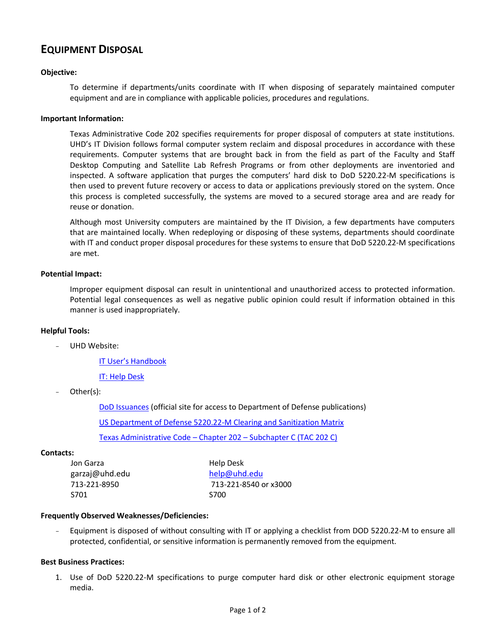# **EQUIPMENT DISPOSAL**

## **Objective:**

To determine if departments/units coordinate with IT when disposing of separately maintained computer equipment and are in compliance with applicable policies, procedures and regulations.

#### **Important Information:**

Texas Administrative Code 202 specifies requirements for proper disposal of computers at state institutions. UHD's IT Division follows formal computer system reclaim and disposal procedures in accordance with these requirements. Computer systems that are brought back in from the field as part of the Faculty and Staff Desktop Computing and Satellite Lab Refresh Programs or from other deployments are inventoried and inspected. A software application that purges the computers' hard disk to DoD 5220.22-M specifications is then used to prevent future recovery or access to data or applications previously stored on the system. Once this process is completed successfully, the systems are moved to a secured storage area and are ready for reuse or donation.

Although most University computers are maintained by the IT Division, a few departments have computers that are maintained locally. When redeploying or disposing of these systems, departments should coordinate with IT and conduct proper disposal procedures for these systems to ensure that DoD 5220.22-M specifications are met.

### **Potential Impact:**

Improper equipment disposal can result in unintentional and unauthorized access to protected information. Potential legal consequences as well as negative public opinion could result if information obtained in this manner is used inappropriately.

#### **Helpful Tools:**

UHD Website:

IT [User's Handbook](http://www.uhd.edu/computing/policies/it_users_handbook.html)

[IT: Help Desk](http://www.uhd.edu/computing/helpdesk/)

Other(s):

[DoD Issuances](http://www.dtic.mil/whs/directives/corres/pub1.html) (official site for access to Department of Defense publications)

[US Department of Defense 5220.22-M Clearing and Sanitization Matrix](http://www.killdisk.com/dod.htm)

[Texas Administrative Code](http://info.sos.state.tx.us/pls/pub/readtac$ext.ViewTAC?tac_view=5&ti=1&pt=10&ch=202&sch=C&rl=Y) – Chapter 202 – Subchapter C (TAC 202 C)

#### **Contacts:**

| Jon Garza      | Help Desk             |  |  |
|----------------|-----------------------|--|--|
| garzaj@uhd.edu | help@uhd.edu          |  |  |
| 713-221-8950   | 713-221-8540 or x3000 |  |  |
| S701           | <b>S700</b>           |  |  |

#### **Frequently Observed Weaknesses/Deficiencies:**

- Equipment is disposed of without consulting with IT or applying a checklist from DOD 5220.22-M to ensure all protected, confidential, or sensitive information is permanently removed from the equipment.

### **Best Business Practices:**

1. Use of DoD 5220.22-M specifications to purge computer hard disk or other electronic equipment storage media.